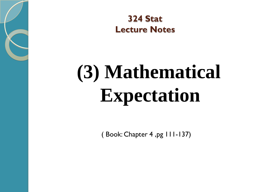

**324 Stat Lecture Notes** 

# **(3) Mathematical Expectation**

( Book: Chapter 4 ,pg 111-137)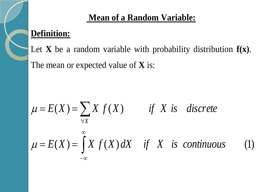#### **Mean of a Random Variable:**

#### **Definition:**

Let **X** be a random variable with probability distribution **f(x)**. The mean or expected value of **X** is:

$$
\mu = E(X) = \sum_{\forall X} X f(X) \qquad \text{if } X \text{ is discrete}
$$
\n
$$
\mu = E(X) = \int_{-\infty}^{\infty} X f(X) dX \quad \text{if } X \text{ is continuous} \qquad (1)
$$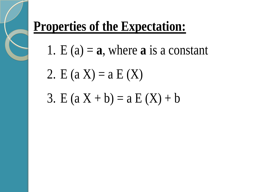# **Properties of the Expectation:**

- 1. E  $(a) = a$ , where **a** is a constant
- 2. E  $(a X) = a E(X)$
- 3. E  $(a X + b) = a E(X) + b$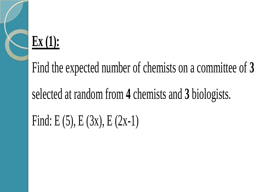# **Ex (1):**

Find the expected number of chemists on a committee of **3**

selected at random from **4** chemists and **3** biologists.

Find: E  $(5)$ , E  $(3x)$ , E  $(2x-1)$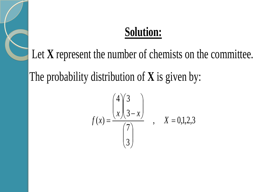Let **X** represent the number of chemists on the committee.

The probability distribution of **X** is given by:

$$
f(x) = \frac{\binom{4}{x} \binom{3}{3-x}}{\binom{7}{3}}
$$
,  $X = 0,1,2,3$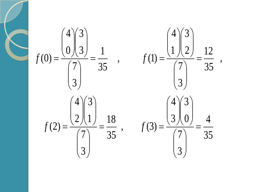35 4 3 7  $\bf{0}$ 3 3 4  $, \qquad f(3)$ 35 18 3 7 1 3 2 4 (2) , 35 12 3 7  $1 \nvert 2$ 3 4  $, \qquad f(1)$ 35 1 3 7 3 3  $\theta$ 4 (0)  $=$  $\overline{\phantom{a}}$  $\overline{\phantom{a}}$  $\int$  $\Big)$  $\overline{\phantom{a}}$  $\overline{\phantom{a}}$  $\setminus$  $\sqrt{}$  $\overline{\phantom{a}}$  $\overline{\phantom{a}}$  $\int$  $\Big)$  $\overline{\phantom{a}}$  $\mathsf{I}$  $\setminus$  $\bigg($  $\overline{\phantom{a}}$  $\overline{\phantom{a}}$  $\int$  $\Big)$  $\overline{\phantom{a}}$  $\mathsf{I}$  $\setminus$  $\bigg($  $=\frac{16}{16}$ ,  $f(3)=$  $\overline{\phantom{a}}$  $\overline{\phantom{a}}$  $\int$  $\Big)$  $\overline{\phantom{a}}$  $\overline{\phantom{a}}$  $\setminus$  $\bigg($  $\overline{\phantom{a}}$  $\overline{\phantom{a}}$  $\int$  $\Big)$  $\overline{\phantom{a}}$  $\overline{\phantom{a}}$  $\setminus$  $\sqrt{}$  $\overline{\phantom{a}}$  $\overline{\phantom{a}}$  $\int$  $\Big)$  $\overline{\phantom{a}}$  $\overline{\phantom{a}}$  $\setminus$  $\sqrt{}$  $=$  $=$  $\overline{\phantom{a}}$  $\overline{\phantom{a}}$  $\int$  $\Big)$  $\overline{\phantom{a}}$  $\mathsf{I}$  $\setminus$  $\bigg($  $\overline{\phantom{a}}$  $\overline{\phantom{a}}$  $\int$  $\Big)$  $\overline{\phantom{a}}$  $\overline{\phantom{a}}$  $\setminus$  $\sqrt{2}$  $\overline{\phantom{a}}$  $\overline{\phantom{a}}$  $\int$  $\Big)$  $\overline{\phantom{a}}$  $\mathsf{I}$  $\setminus$  $\bigg($  $=\frac{1}{\epsilon}$ ,  $f(1)=$  $\overline{\phantom{a}}$  $\overline{\phantom{a}}$  $\int$  $\Big)$  $\overline{\phantom{a}}$  $\overline{\phantom{a}}$  $\setminus$  $\sqrt{}$  $\overline{\phantom{a}}$  $\overline{\phantom{a}}$  $\int$  $\Big)$  $\overline{\phantom{a}}$  $\mathsf{I}$  $\setminus$  $\bigg($  $\overline{\phantom{a}}$  $\overline{\phantom{a}}$  $\int$  $\Big)$  $\overline{\phantom{a}}$  $\overline{\phantom{a}}$  $\setminus$  $\bigg($  $=$  $f(2) = \frac{\sqrt{2}}{2} = \frac{1}{2}$ , f  $f(0) = \frac{\sqrt{2}}{2} = \frac{1}{2}$ , f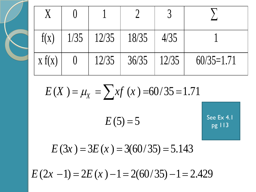| f(X)   | 1/35 | $12/35$ | 18/35 | 4/35  |              |
|--------|------|---------|-------|-------|--------------|
| X f(X) |      | 12/35   | 36/35 | 12/35 | $60/35=1.71$ |

$$
E(X) = \mu_X = \sum xf(x) = 60/35 = 1.71
$$
  

$$
E(5) = 5
$$
  
See Ex 4.1  
See Ex 4.1  
pg 113

 $E(3x) = 3E(x) = 3(60/35) = 5.143$ <br> $E(2x - 1) = 2E(x) - 1 = 2(60/35) - 1 = 2.429$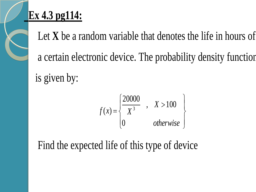# **Ex 4.3 pg114:**

 Let **X** be a random variable that denotes the life in hours of a certain electronic device. The probability density function is given by:

$$
f(x) = \begin{cases} \frac{20000}{X^3} , & X > 100 \\ 0 & otherwise \end{cases}
$$

Find the expected life of this type of device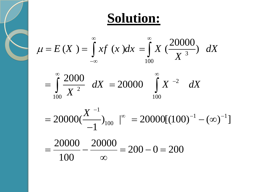**Solution:**  

$$
\mu = E(X) = \int_{-\infty}^{\infty} x f(x) dx = \int_{100}^{\infty} X \left(\frac{20000}{X^3}\right) dX
$$

$$
= \int_{100}^{\infty} \frac{2000}{X^2} \, dX = 20000 \int_{100}^{\infty} X^{-2} \, dX
$$

$$
100 = 100
$$
  
= 20000( $\frac{X^{-1}}{-1}$ )<sub>100</sub> |<sup>∞</sup> = 20000[(100)<sup>-1</sup> - (∞)<sup>-1</sup>]  
=  $\frac{20000}{100} - \frac{20000}{∞} = 200 - 0 = 200$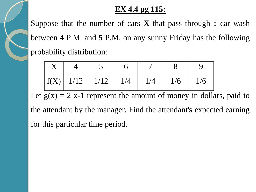#### **EX 4.4 pg 115:**

Suppose that the number of cars **X** that pass through a car wash between **4** P.M. and **5** P.M. on any sunny Friday has the following probability distribution:

|  | $\lceil f(X) \rceil$ 1/12 $\lceil 1/12 \rceil$ 1/4 | 1/4 | 1/6 | 1/6 |
|--|----------------------------------------------------|-----|-----|-----|

Let  $g(x) = 2$  x-1 represent the amount of money in dollars, paid to the attendant by the manager. Find the attendant's expected earning for this particular time period.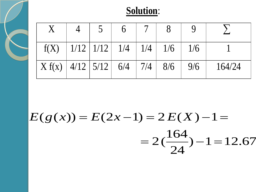|                                                |  | $f(X)$   $1/12$   $1/12$   $1/4$   $1/4$   $1/6$ |  | 1/6 |        |
|------------------------------------------------|--|--------------------------------------------------|--|-----|--------|
| $X f(x)   4/12   5/12   6/4   7/4   8/6   9/6$ |  |                                                  |  |     | 164/24 |

$$
E(g(x)) = E(2x-1) = 2 E(X) - 1 =
$$
  
= 2( $\frac{164}{24}$ ) - 1 = 12.67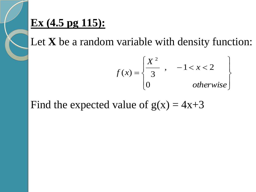### **Ex (4.5 pg 115):**

Let **X** be a random variable with density function:

$$
f(x) = \begin{cases} \frac{X^2}{3} , & -1 < x < 2 \\ 0 & otherwise \end{cases}
$$

Find the expected value of  $g(x) = 4x+3$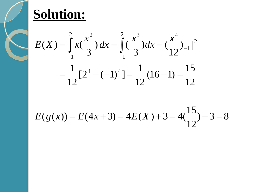$$
E(X) = \int_{-1}^{2} x(\frac{x^2}{3}) dx = \int_{-1}^{2} (\frac{x^3}{3}) dx = (\frac{x^4}{12})_{-1}^{2}
$$
  
=  $\frac{1}{12} [2^4 - (-1)^4] = \frac{1}{12} (16 - 1) = \frac{15}{12}$ 

 $)+3=8$ 12  $E(g(x)) = E(4x+3) = 4E(X) + 3 = 4(\frac{15}{3}) + 3 =$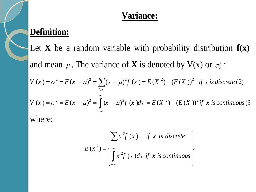#### **Variance:**

#### **Definition:**

Let **X** be a random variable with probability distribution **f(x)** and mean  $\mu$ . The variance of **X** is denoted by V(x) or  $\sigma_x^2$ : and mean  $\mu$ . The variance of **X** is denoted by V(x) or  $\sigma_x^2$ :<br>  $V(x) = \sigma^2 = E(x - \mu)^2 = \sum_{\forall x} (x - \mu)^2 f(x) = E(X^2) - (E(X))^2$  if x is discrete (2)  $V(x) = \sigma^2 = E(x - \mu)^2 = \sum_{\forall x} (x - \mu)^2 f(x) = E(X^2) - (E(X))^2$  if x is discrete (2)<br>  $V(x) = \sigma^2 = E(x - \mu)^2 = \int_{-\infty}^{\infty} (x - \mu)^2 f(x) dx = E(X^2) - (E(X))^2$  if x is continuous (3)  $\infty$  $-\infty$  $= \sigma^2 = E (x - \mu)^2 = \sum_{\forall x} (x - \mu)^2 f (x) = E (X^2) - (E (X))^2$  if  $x = \sigma^2 = E (x - \mu)^2 = \int_{-\infty}^{\infty} (x - \mu)^2 f (x) dx = E (X^2) - (E (X))^2$  if  $x = \sigma^2 = E (x - \mu)^2$ 

where:

$$
E(x^{2}) = \begin{cases} \sum x^{2} f(x) & \text{if } x \text{ is discrete} \\ \int_{-\infty}^{\infty} x^{2} f(x) dx & \text{if } x \text{ is continuous} \end{cases}
$$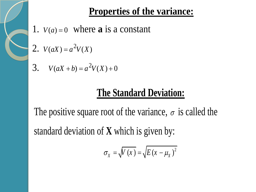#### **Properties of the variance:**

- 1.  $V(a) = 0$  where **a** is a constant
- 2.  $V(aX) = a^2V(X)$

$$
3. \quad V(aX + b) = a^2 V(X) + 0
$$

### **The Standard Deviation:**

The positive square root of the variance,  $\sigma$  is called the standard deviation of **X** which is given by:

$$
\sigma_{X} = \sqrt{V(x)} = \sqrt{E(x - \mu_{X})^{2}}
$$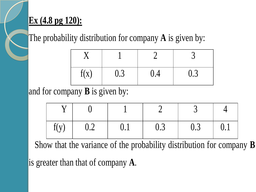#### **Ex (4.8 pg 120):**

The probability distribution for company **A** is given by:

| f(x) | 0.3 | 0.4 | 0.3 |
|------|-----|-----|-----|

#### and for company **B** is given by:

| f(y) | $\sim 0.2$ | $\vert 0.1 \vert$ | $\begin{array}{cc} \vert & 0.3 \end{array}$ | 10.3 | $\vert 0.1$ |
|------|------------|-------------------|---------------------------------------------|------|-------------|

Show that the variance of the probability distribution for company **B**

is greater than that of company **A**.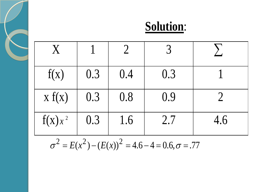

 $\sigma^2 = E(x^2) - (E(x))^2 = 4.6 - 4 = 0.6, \sigma = .77$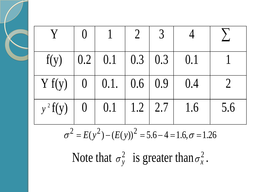| f(y)       |                | $\vert 0.2 \vert 0.1 \vert 0.3 \vert 0.3 \vert 0.1$ |             |     |     |
|------------|----------------|-----------------------------------------------------|-------------|-----|-----|
| Y f(y)     |                | $0 \mid 0.1 \mid 0.6 \mid 0.9 \mid$                 |             | 0.4 |     |
| $y^2 f(y)$ | $\overline{0}$ | $\vert 0.1$                                         | $1.2$   2.7 | 1.6 | 5.6 |

$$
\sigma^2 = E(y^2) - (E(y))^2 = 5.6 - 4 = 1.6, \sigma = 1.26
$$

Note that  $\sigma_v^2$  $\sigma_y^2$  is greater than  $\sigma_x^2$  $\sigma_x^2$  .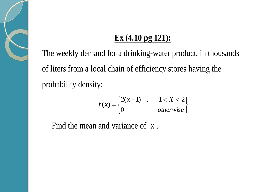#### **Ex (4.10 pg 121):**

The weekly demand for a drinking-water product, in thousands of liters from a local chain of efficiency stores having the probability density:

$$
f(x) = \begin{cases} 2(x-1) & , & 1 < X < 2 \\ 0 & otherwise \end{cases}
$$

Find the mean and variance of x .

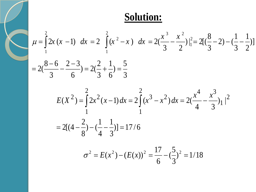Solution:  
\n
$$
\mu = \int_{1}^{2} 2x (x - 1) dx = 2 \int_{1}^{2} (x^{2} - x) dx = 2(\frac{x^{3}}{3} - \frac{x^{2}}{2})\Big|_{1}^{2} = 2[(\frac{8}{3} - 2) - (\frac{1}{3} - \frac{1}{2})]
$$
\n
$$
= 2(\frac{8 - 6}{3} - \frac{2 - 3}{6}) = 2(\frac{2}{3} + \frac{1}{6}) = \frac{5}{3}
$$

$$
E(X^{2}) = \int_{1}^{2} 2x^{2} (x - 1) dx = 2 \int_{1}^{2} (x^{3} - x^{2}) dx = 2(\frac{x^{4}}{4} - \frac{x^{3}}{3}) \Big|_{1}^{2}
$$
  
= 2[(4 - \frac{2}{8}) - (\frac{1}{4} - \frac{1}{3})] = 17/6

$$
\sigma^2 = E(x^2) - (E(x))^2 = \frac{17}{6} - (\frac{5}{3})^2 = 1/18
$$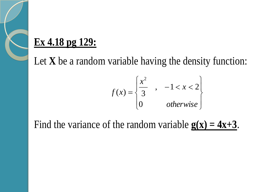## **Ex 4.18 pg 129:**

Let **X** be a random variable having the density function:

$$
f(x) = \begin{cases} \frac{x^2}{3} & -1 < x < 2 \\ 0 & \text{otherwise} \end{cases}
$$

Find the variance of the random variable  $g(x) = 4x+3$ .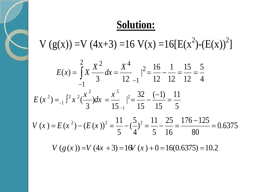$V(g(x)) = V(4x+3) = 16 V(x) = 16[E(x^2)-(E(x))^2]$ 

$$
E(x) = \int_{-1}^{2} X \frac{X^2}{3} dx = \frac{X^4}{12 - 1} |_{-1}^{2} = \frac{16}{12} - \frac{1}{12} = \frac{15}{12} = \frac{5}{4}
$$
  

$$
E(x^2) = \int_{-1}^{2} x^2 \left(\frac{x^2}{3}\right) dx = \frac{x^5}{15 - 1} |_{-1}^{2} = \frac{32}{15} - \frac{(-1)}{15} = \frac{11}{5}
$$
  

$$
V(x) = E(x^2) - (E(x))^2 = \frac{11}{5} - \left(\frac{5}{4}\right)^2 = \frac{11}{5} - \frac{25}{16} = \frac{176 - 125}{80} = 0.6375
$$

$$
V(x) = E(x^{2}) - (E(x))^{2} = \frac{1}{5} - (\frac{2}{4})^{2} = \frac{1}{5} - \frac{2}{16} = \frac{1}{80} - \frac{1}{80} = 0.6375
$$

*V*  $(g(x))=V(4x+3)=16V(x)+0=16(0.6375)=10.2$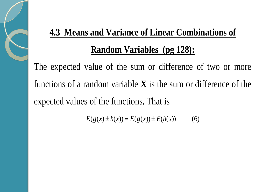# **4.3 Means and Variance of Linear Combinations of Random Variables (pg 128):**

The expected value of the sum or difference of two or more functions of a random variable **X** is the sum or difference of the expected values of the functions. That is

 $E(g(x) \pm h(x)) = E(g(x)) \pm E(h(x))$  (6)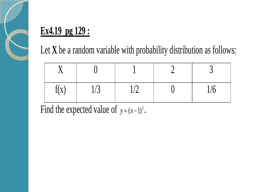

# **Ex4.19 pg 129 :**

Let **X** be a random variable with probability distribution as follows:

| f(x) | ᅬ | ما<br>$\blacksquare$ | $\mathbf{1}$ $\mathbf{0}$ |
|------|---|----------------------|---------------------------|

Find the expected value of  $y=(x-1)^2$ .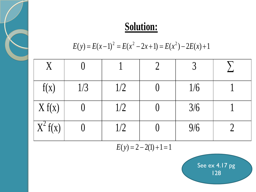$$
E(y) = E(x-1)2 = E(x2 - 2x + 1) = E(x2) - 2E(x) + 1
$$

| $\overline{X}$ |     |     |     |  |
|----------------|-----|-----|-----|--|
| f(x)           | 1/3 | 1/2 | 1/6 |  |
| X f(x)         |     | 1/2 | 3/6 |  |
| $X^2 f(x)$     |     | 1/2 | 9/6 |  |

 $E(y) = 2 - 2(1) + 1 = 1$ 

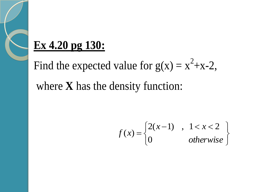# **Ex 4.20 pg 130:**

Find the expected value for  $g(x) = x^2+x-2$ , where **X** has the density function:

$$
f(x) = \begin{cases} 2(x-1) & 1 < x < 2 \\ 0 & \text{otherwise} \end{cases}
$$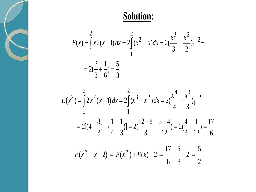



$$
E(x^{2}) = \int_{1}^{2} 2x^{2} (x - 1) dx = 2 \int_{1}^{2} (x^{3} - x^{2}) dx = 2(\frac{x^{4}}{4} - \frac{x^{3}}{3}) \Big|_{1}^{2}
$$
  
= 2[(4 - \frac{8}{3}) - (\frac{1}{4} - \frac{1}{3})] = 2(\frac{12 - 8}{3} - \frac{3 - 4}{12}) = 2(\frac{4}{3} + \frac{1}{12}) = \frac{17}{6}

$$
E(x^{2} + x - 2) = E(x^{2}) + E(x) - 2 = \frac{17}{6} + \frac{5}{3} - 2 = \frac{5}{2}
$$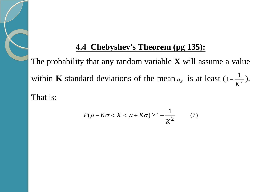#### **4.4 Chebyshev's Theorem (pg 135):**

The probability that any random variable **X** will assume a value within **K** standard deviations of the mean  $\mu_{\chi}$  is at least  $(1-\frac{1}{K^2})$ 1 1 *K*  $-\frac{1}{\pi^2}$ ). That is:

$$
P(\mu - K\sigma < X < \mu + K\sigma) \ge 1 - \frac{1}{K^2} \tag{7}
$$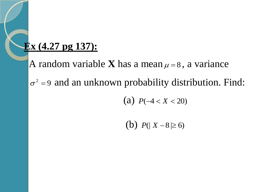#### **Ex (4.27 pg 137):**

A random variable **X** has a mean  $\mu = 8$ , a variance  $\sigma^2$  =9 and an unknown probability distribution. Find:

(a)  $P(-4 < X < 20)$ 

(b)  $P(|X-8| \ge 6)$